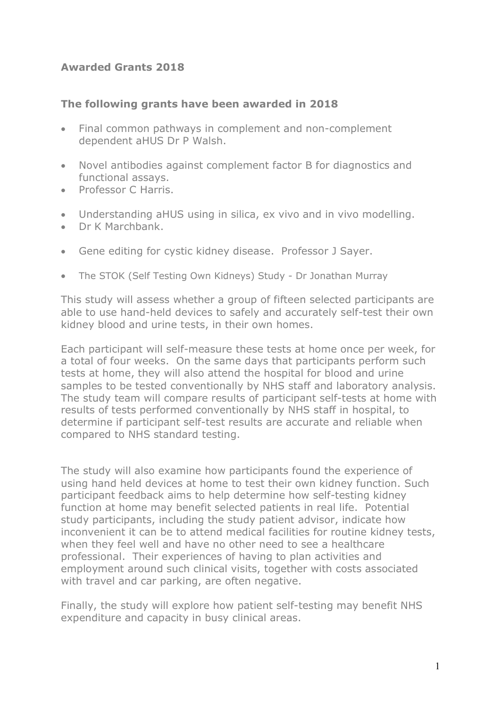## **Awarded Grants 2018**

## **The following grants have been awarded in 2018**

- Final common pathways in complement and non-complement dependent aHUS Dr P Walsh.
- Novel antibodies against complement factor B for diagnostics and functional assays.
- Professor C Harris.
- Understanding aHUS using in silica, ex vivo and in vivo modelling.
- Dr K Marchbank.
- Gene editing for cystic kidney disease. Professor J Sayer.
- The STOK (Self Testing Own Kidneys) Study Dr Jonathan Murray

This study will assess whether a group of fifteen selected participants are able to use hand-held devices to safely and accurately self-test their own kidney blood and urine tests, in their own homes.

Each participant will self-measure these tests at home once per week, for a total of four weeks. On the same days that participants perform such tests at home, they will also attend the hospital for blood and urine samples to be tested conventionally by NHS staff and laboratory analysis. The study team will compare results of participant self-tests at home with results of tests performed conventionally by NHS staff in hospital, to determine if participant self-test results are accurate and reliable when compared to NHS standard testing.

The study will also examine how participants found the experience of using hand held devices at home to test their own kidney function. Such participant feedback aims to help determine how self-testing kidney function at home may benefit selected patients in real life. Potential study participants, including the study patient advisor, indicate how inconvenient it can be to attend medical facilities for routine kidney tests, when they feel well and have no other need to see a healthcare professional. Their experiences of having to plan activities and employment around such clinical visits, together with costs associated with travel and car parking, are often negative.

Finally, the study will explore how patient self-testing may benefit NHS expenditure and capacity in busy clinical areas.